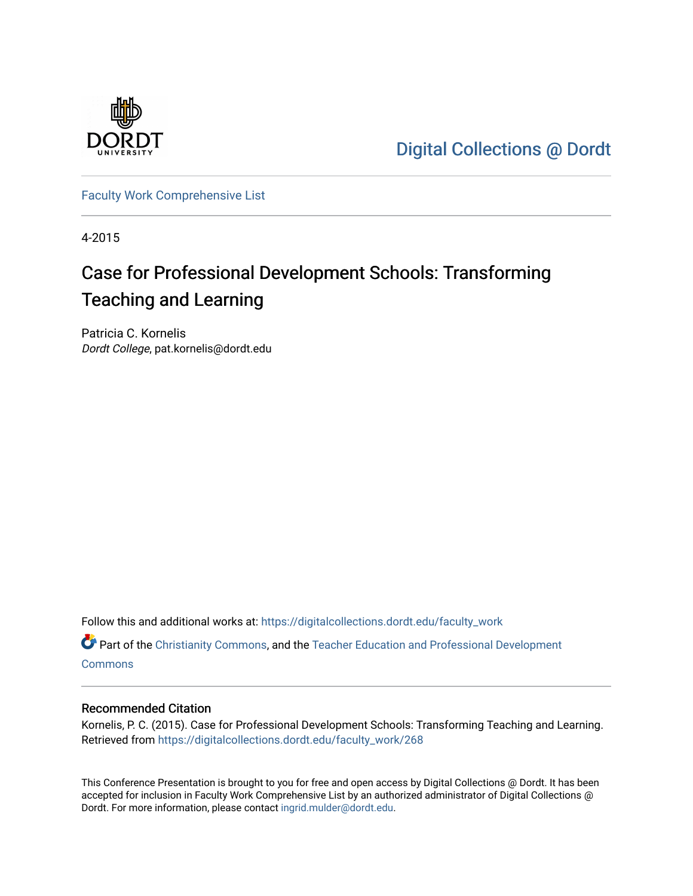

[Digital Collections @ Dordt](https://digitalcollections.dordt.edu/) 

[Faculty Work Comprehensive List](https://digitalcollections.dordt.edu/faculty_work)

4-2015

#### Case for Professional Development Schools: Transforming Teaching and Learning

Patricia C. Kornelis Dordt College, pat.kornelis@dordt.edu

Follow this and additional works at: [https://digitalcollections.dordt.edu/faculty\\_work](https://digitalcollections.dordt.edu/faculty_work?utm_source=digitalcollections.dordt.edu%2Ffaculty_work%2F268&utm_medium=PDF&utm_campaign=PDFCoverPages) 

Part of the [Christianity Commons,](http://network.bepress.com/hgg/discipline/1181?utm_source=digitalcollections.dordt.edu%2Ffaculty_work%2F268&utm_medium=PDF&utm_campaign=PDFCoverPages) and the [Teacher Education and Professional Development](http://network.bepress.com/hgg/discipline/803?utm_source=digitalcollections.dordt.edu%2Ffaculty_work%2F268&utm_medium=PDF&utm_campaign=PDFCoverPages)  [Commons](http://network.bepress.com/hgg/discipline/803?utm_source=digitalcollections.dordt.edu%2Ffaculty_work%2F268&utm_medium=PDF&utm_campaign=PDFCoverPages)

#### Recommended Citation

Kornelis, P. C. (2015). Case for Professional Development Schools: Transforming Teaching and Learning. Retrieved from [https://digitalcollections.dordt.edu/faculty\\_work/268](https://digitalcollections.dordt.edu/faculty_work/268?utm_source=digitalcollections.dordt.edu%2Ffaculty_work%2F268&utm_medium=PDF&utm_campaign=PDFCoverPages)

This Conference Presentation is brought to you for free and open access by Digital Collections @ Dordt. It has been accepted for inclusion in Faculty Work Comprehensive List by an authorized administrator of Digital Collections @ Dordt. For more information, please contact [ingrid.mulder@dordt.edu.](mailto:ingrid.mulder@dordt.edu)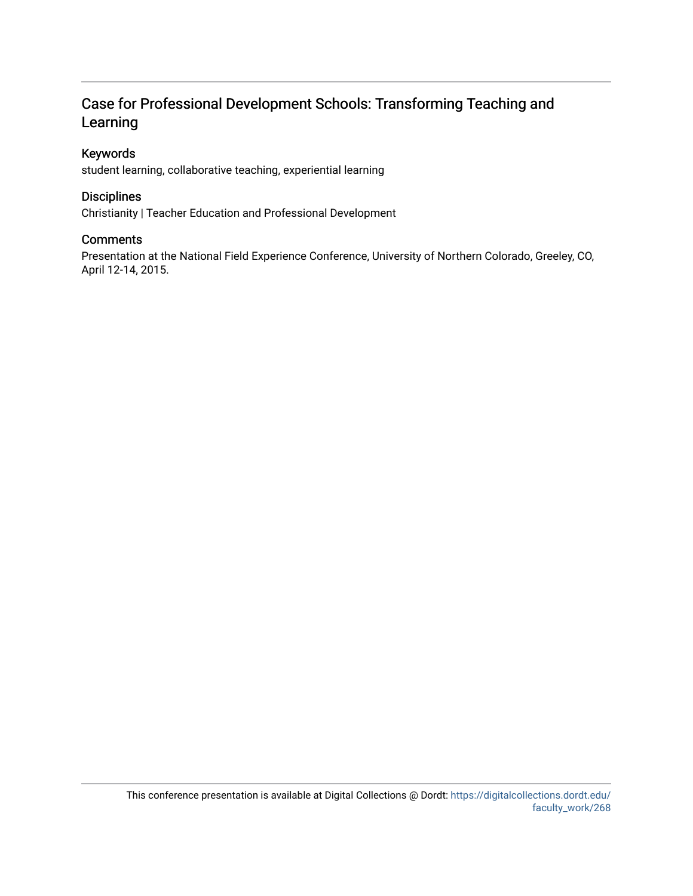#### Case for Professional Development Schools: Transforming Teaching and Learning

#### Keywords

student learning, collaborative teaching, experiential learning

#### **Disciplines**

Christianity | Teacher Education and Professional Development

#### **Comments**

Presentation at the National Field Experience Conference, University of Northern Colorado, Greeley, CO, April 12-14, 2015.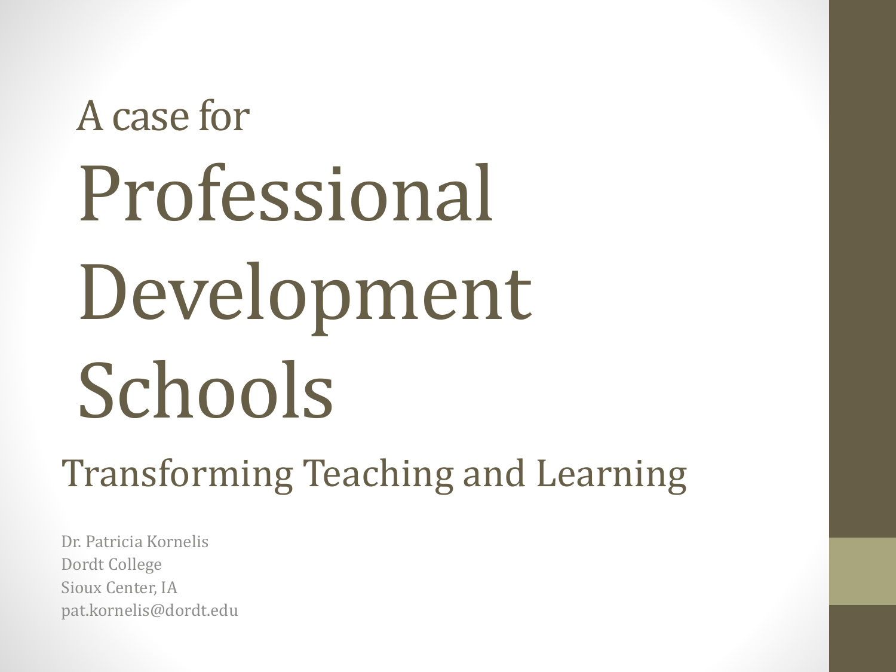# A case for Professional Development Schools

Transforming Teaching and Learning

Dr. Patricia Kornelis Dordt College Sioux Center, IA pat.kornelis@dordt.edu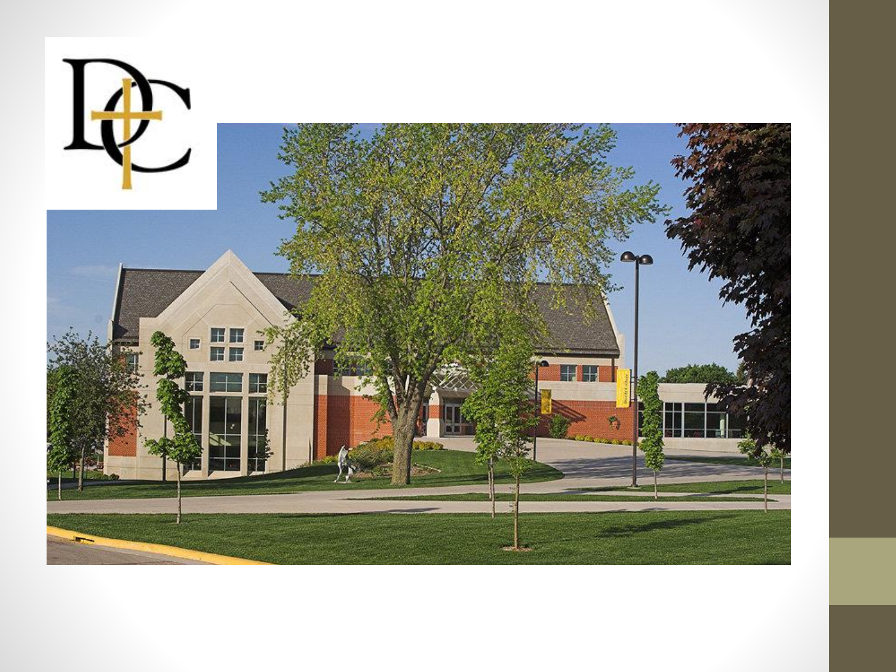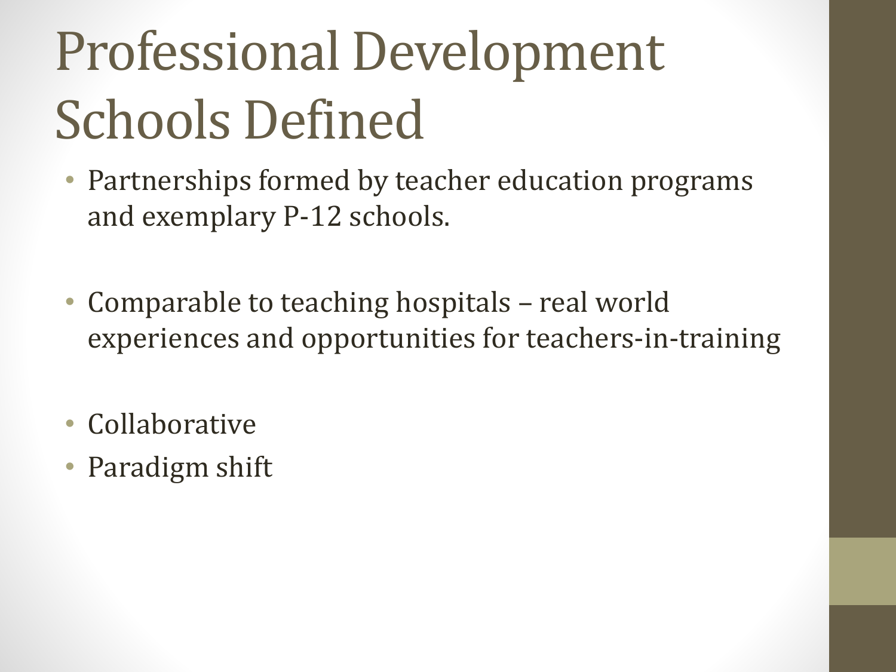## Professional Development Schools Defined

- Partnerships formed by teacher education programs and exemplary P-12 schools.
- Comparable to teaching hospitals real world experiences and opportunities for teachers-in-training
- Collaborative
- Paradigm shift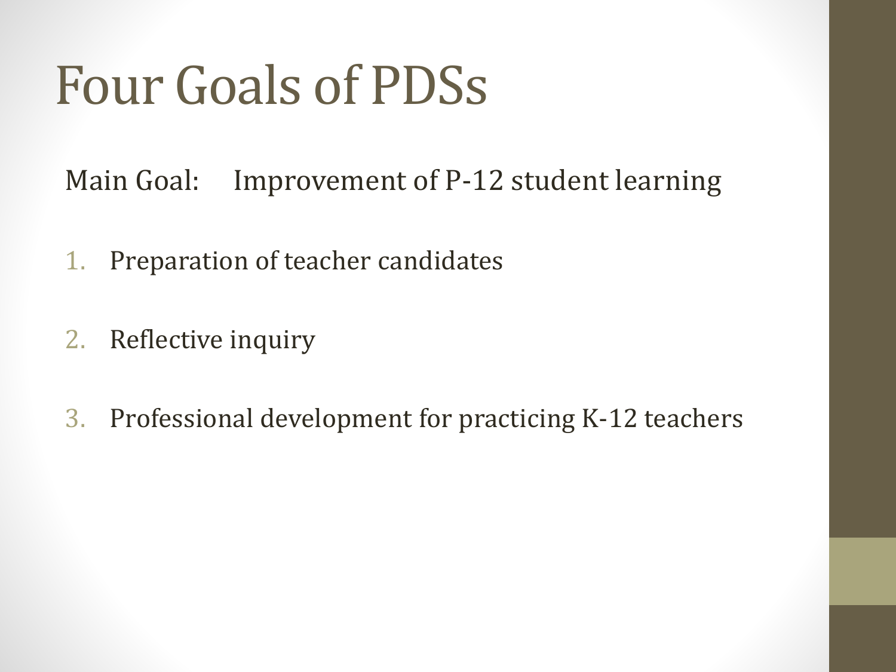## Four Goals of PDSs

Main Goal: Improvement of P-12 student learning

- 1. Preparation of teacher candidates
- 2. Reflective inquiry
- 3. Professional development for practicing K-12 teachers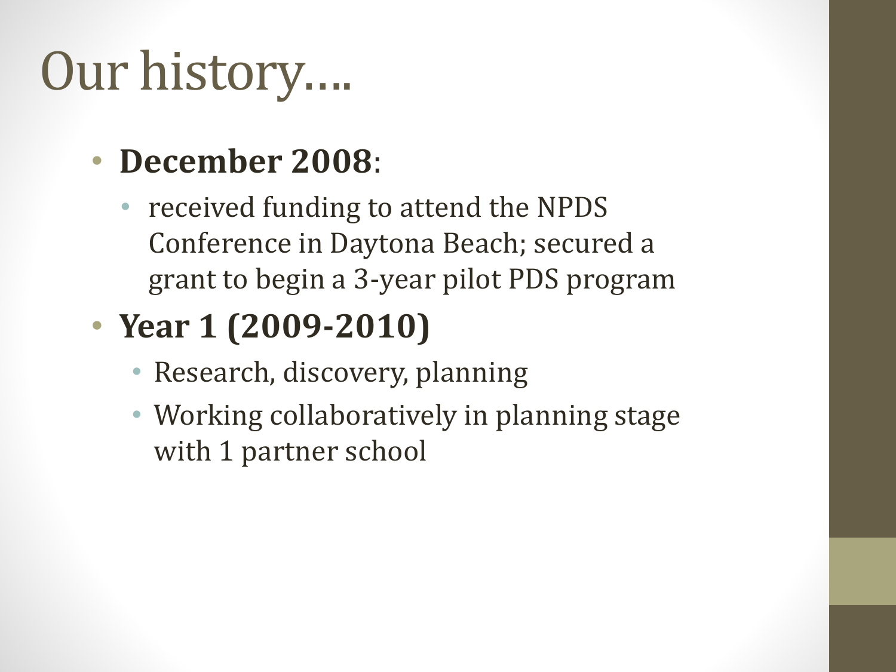## Our history….

#### • **December 2008**:

• received funding to attend the NPDS Conference in Daytona Beach; secured a grant to begin a 3-year pilot PDS program

#### • **Year 1 (2009-2010)**

- Research, discovery, planning
- Working collaboratively in planning stage with 1 partner school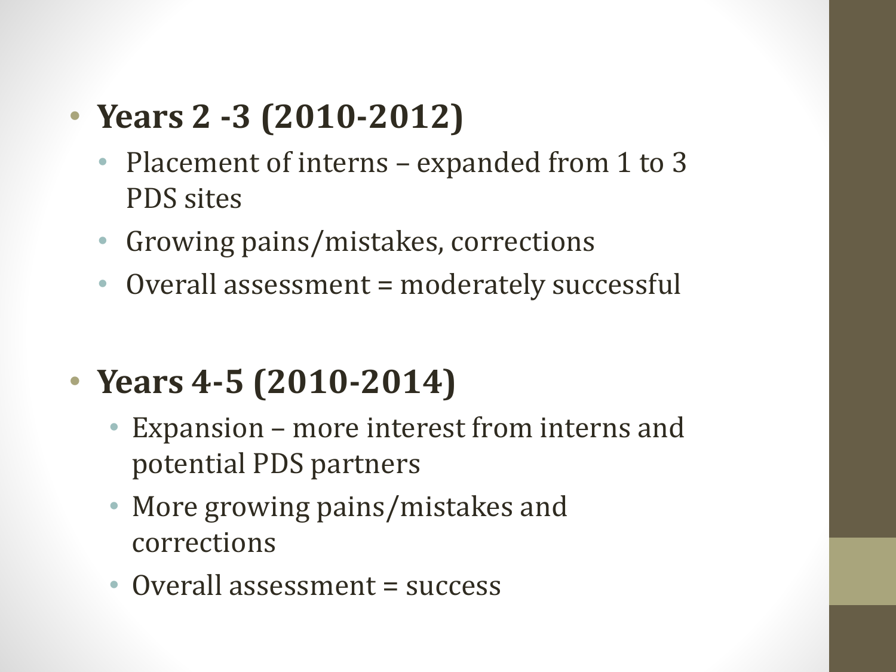#### • **Years 2 -3 (2010-2012)**

- Placement of interns expanded from 1 to 3 PDS sites
- Growing pains/mistakes, corrections
- Overall assessment = moderately successful

#### • **Years 4-5 (2010-2014)**

- Expansion more interest from interns and potential PDS partners
- More growing pains/mistakes and corrections
- Overall assessment = success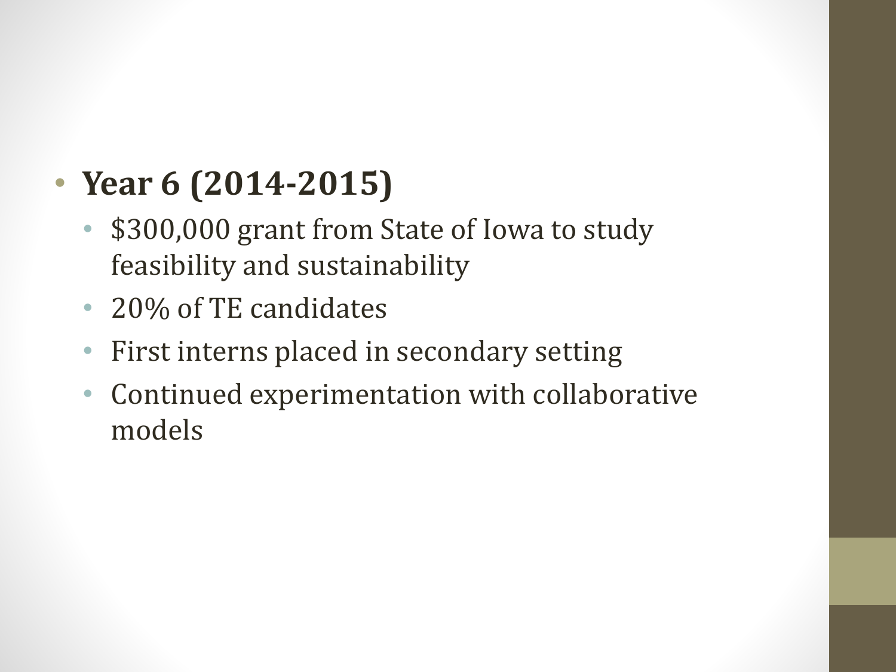#### • **Year 6 (2014-2015)**

- \$300,000 grant from State of Iowa to study feasibility and sustainability
- 20% of TE candidates
- First interns placed in secondary setting
- Continued experimentation with collaborative models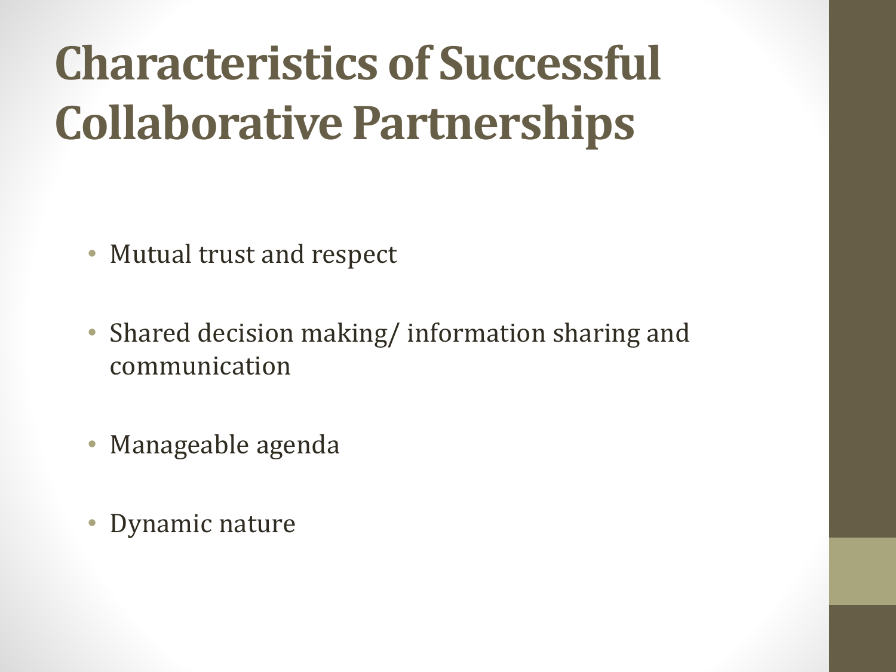### **Characteristics of Successful Collaborative Partnerships**

- Mutual trust and respect
- Shared decision making/ information sharing and communication
- Manageable agenda
- Dynamic nature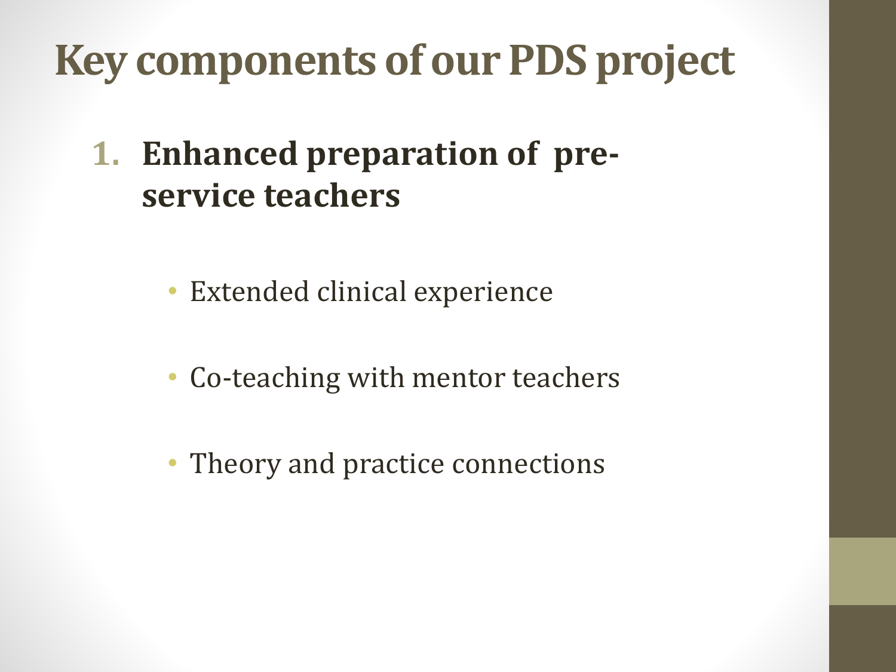#### **Key components of our PDS project**

#### **1. Enhanced preparation of preservice teachers**

- Extended clinical experience
- Co-teaching with mentor teachers
- Theory and practice connections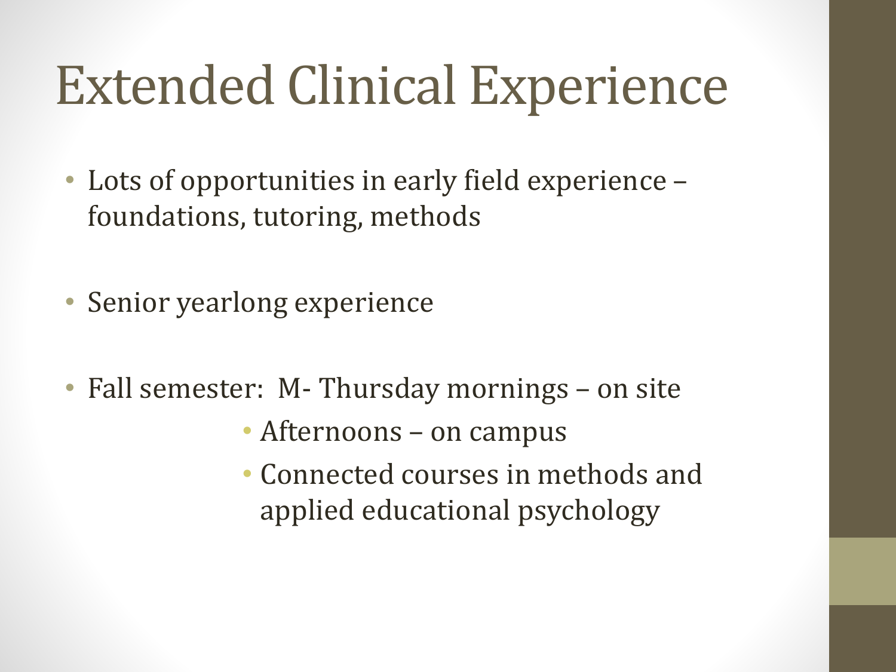## Extended Clinical Experience

- Lots of opportunities in early field experience foundations, tutoring, methods
- Senior yearlong experience
- Fall semester: M- Thursday mornings on site
	- Afternoons on campus
	- Connected courses in methods and applied educational psychology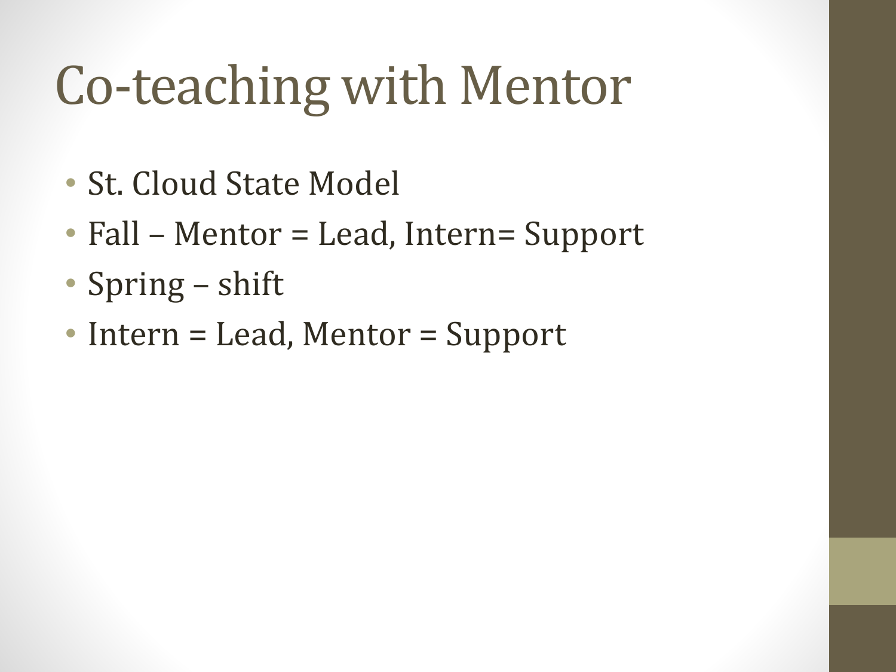## Co-teaching with Mentor

- St. Cloud State Model
- Fall Mentor = Lead, Intern= Support
- Spring shift
- Intern = Lead, Mentor = Support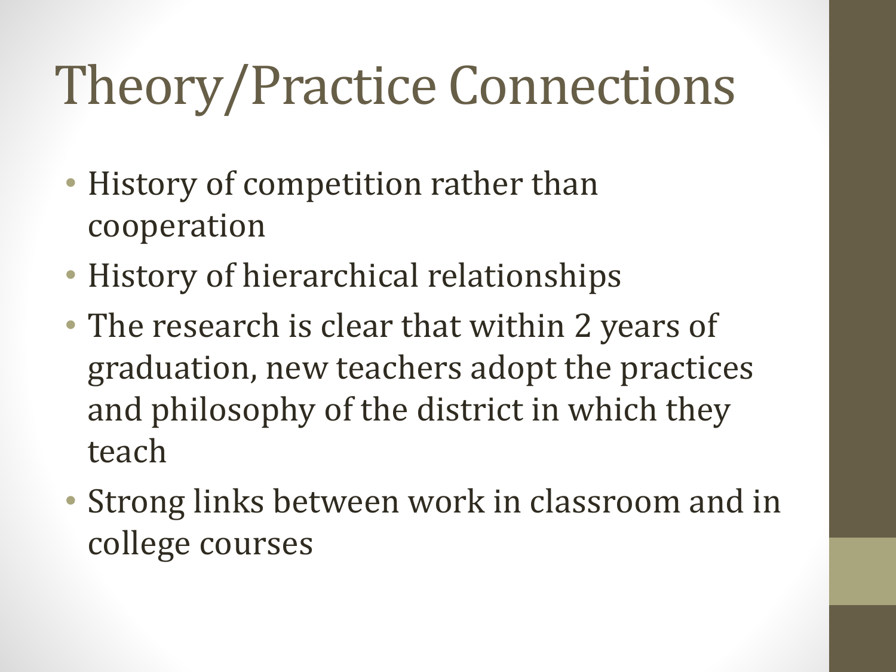## Theory/Practice Connections

- History of competition rather than cooperation
- History of hierarchical relationships
- The research is clear that within 2 years of graduation, new teachers adopt the practices and philosophy of the district in which they teach
- Strong links between work in classroom and in college courses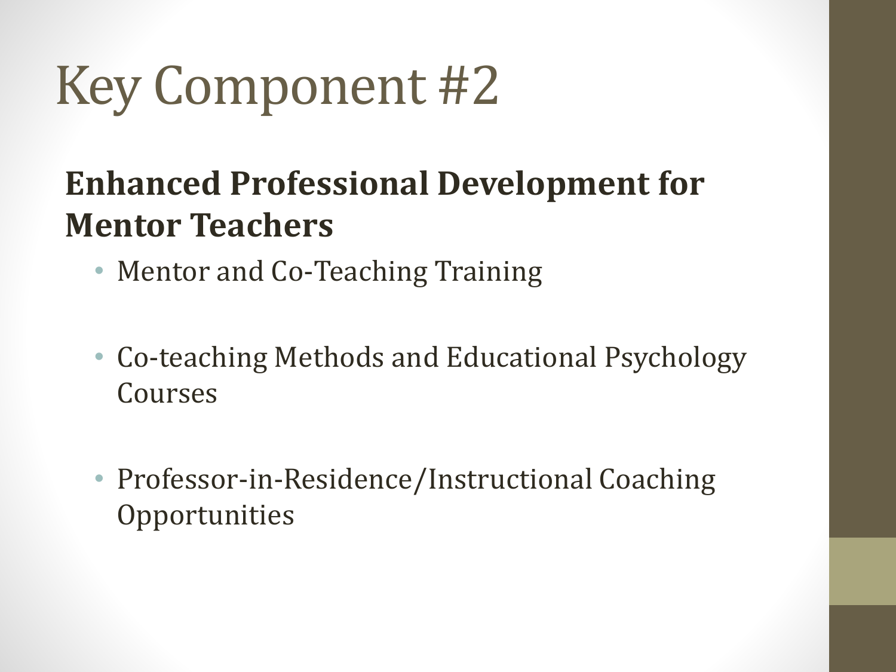## Key Component #2

#### **Enhanced Professional Development for Mentor Teachers**

- Mentor and Co-Teaching Training
- Co-teaching Methods and Educational Psychology Courses
- Professor-in-Residence/Instructional Coaching **Opportunities**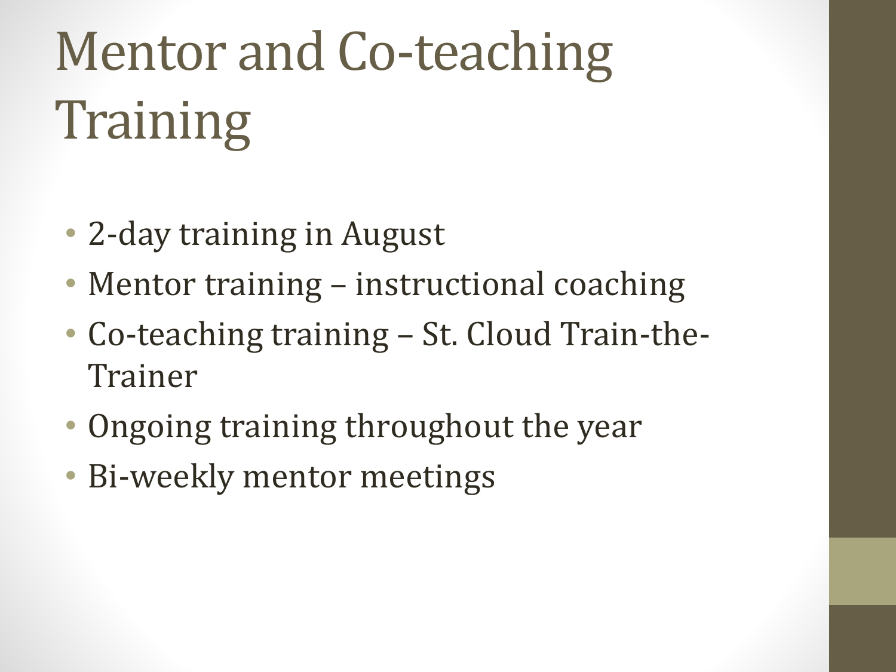## Mentor and Co-teaching **Training**

- 2-day training in August
- Mentor training instructional coaching
- Co-teaching training St. Cloud Train-the-Trainer
- Ongoing training throughout the year
- Bi-weekly mentor meetings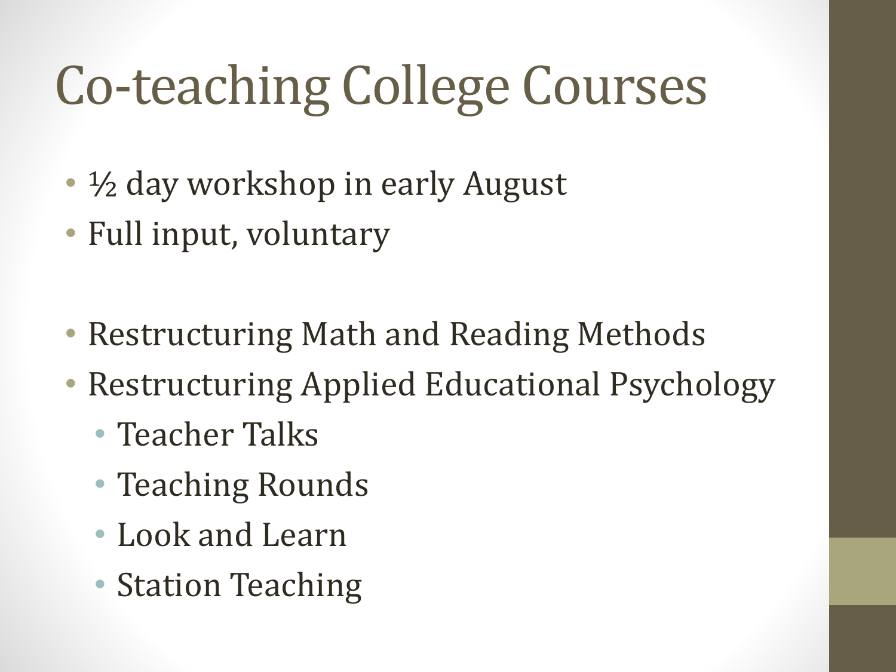## Co-teaching College Courses

- <sup>1</sup>/<sub>2</sub> day workshop in early August
- Full input, voluntary
- Restructuring Math and Reading Methods
- Restructuring Applied Educational Psychology
	- Teacher Talks
	- Teaching Rounds
	- Look and Learn
	- Station Teaching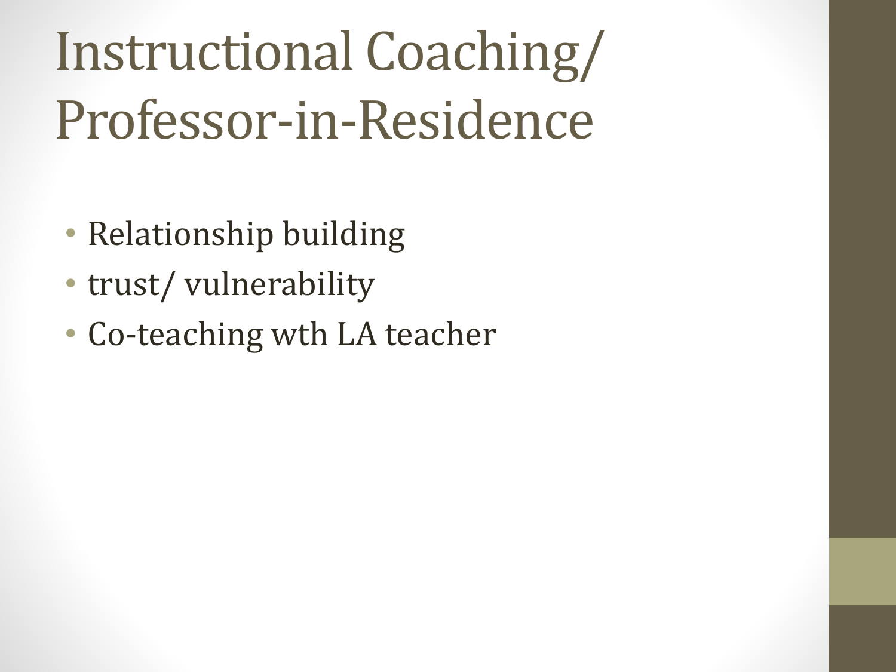## Instructional Coaching/ Professor-in-Residence

- Relationship building
- trust/ vulnerability
- Co-teaching wth LA teacher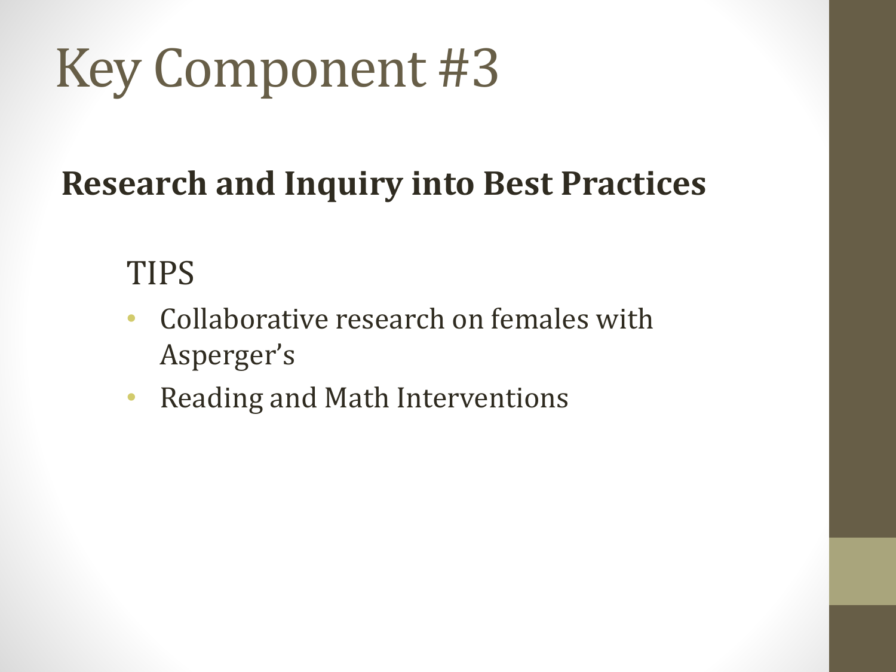## Key Component #3

#### **Research and Inquiry into Best Practices**

#### TIPS

- Collaborative research on females with Asperger's
- Reading and Math Interventions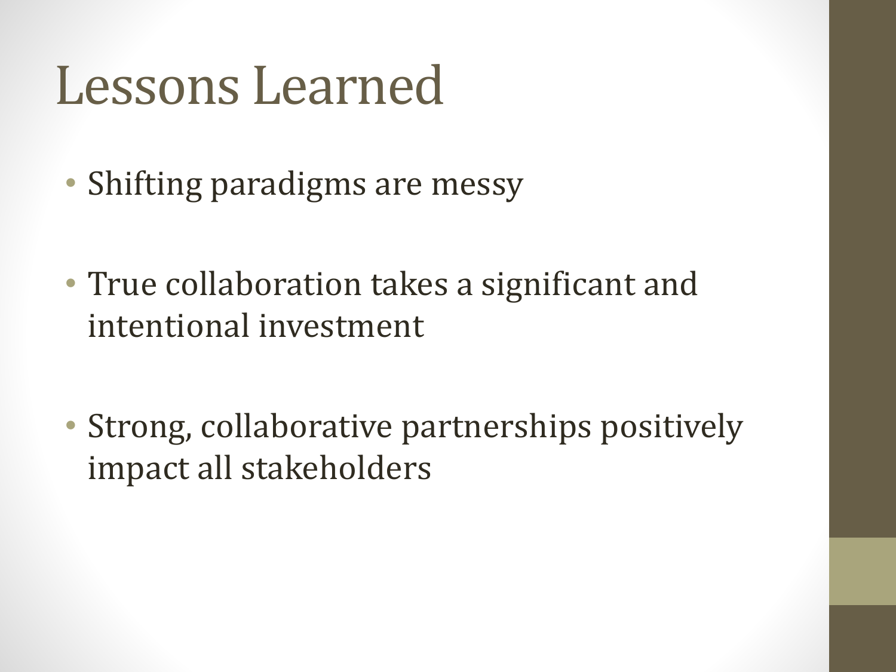### Lessons Learned

- Shifting paradigms are messy
- True collaboration takes a significant and intentional investment
- Strong, collaborative partnerships positively impact all stakeholders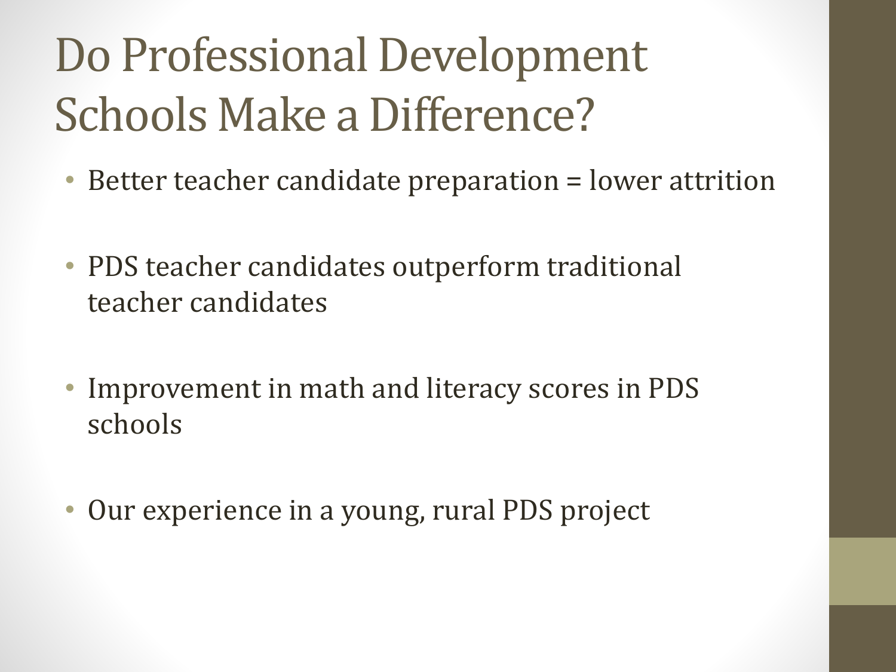### Do Professional Development Schools Make a Difference?

- Better teacher candidate preparation = lower attrition
- PDS teacher candidates outperform traditional teacher candidates
- Improvement in math and literacy scores in PDS schools
- Our experience in a young, rural PDS project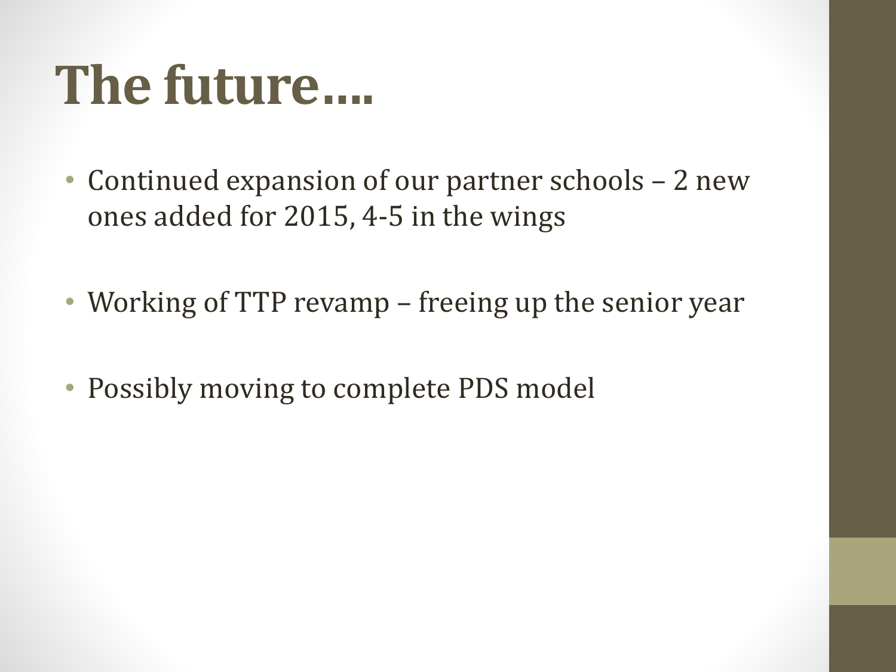## **The future….**

- Continued expansion of our partner schools 2 new ones added for 2015, 4-5 in the wings
- Working of TTP revamp freeing up the senior year
- Possibly moving to complete PDS model